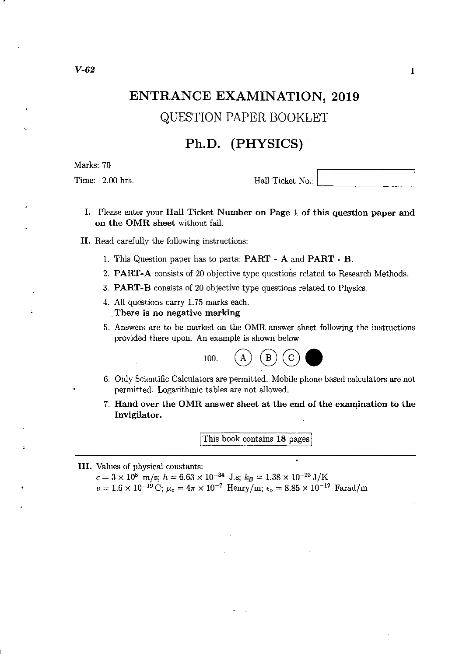# **ENTRANCE EXAMINATION, 2019**

QUESTION PAPER BOOKLET

# **Ph.D. (PHYSICS)**

Marks: 70

 $\text{Final}$  Time: 2.00 hrs.

#### I. Please enter your Hall Ticket Number on Page 1 of this question paper and on the OMR sheet without fail.

- II. Read carefully the following instructions:
	- 1. This Question paper has to parts: PART A and PART B.
	- 2. PART-A consists of 20 objective type questions related to Research Methods.
	- 3. PART-B consists of 20 objective type questions related to Physics.
	- 4. All questions carry 1. 75 marks each . . There is no negative marking
	- 5. Answers are to be marked on the OMR answer sheet following the instructions provided there upon. An example is shown below

100. 
$$
\qquad \qquad (A) \quad \qquad (B) \quad \qquad (C)
$$

- 6. Only Scientific Calculators are permitted. Mobile phone based calculators are not permitted. Logarithmic tables are not allowed.
- 7. Hand over the OMR answer sheet at the end of the examination to the Invigilator.

This book contains 18 pages

#### III. Values of physical constants:

 $c = 3 \times 10^8$  m/s;  $h = 6.63 \times 10^{-34}$  J.s;  $k_B = 1.38 \times 10^{-23}$  J/K  $e = 1.6 \times 10^{-19}$  C;  $\mu_{\text{o}} = 4\pi \times 10^{-7}$  Henry/m;  $\epsilon_{\text{o}} = 8.85 \times 10^{-12}$  Farad/m

,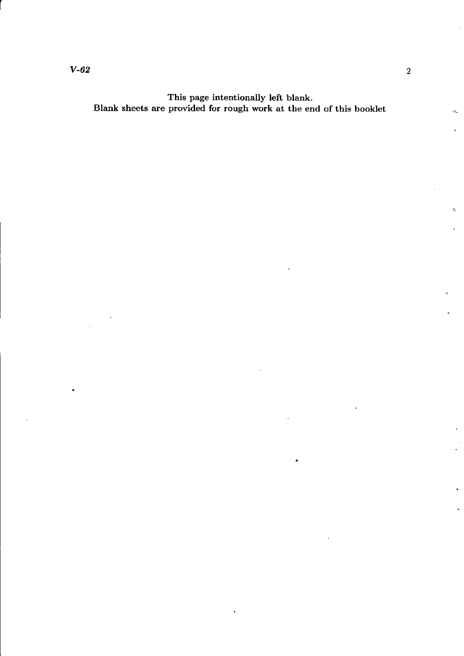This page intentionally left blank. Blank sheets are provided for rough work at the end of this booklet

r

ż,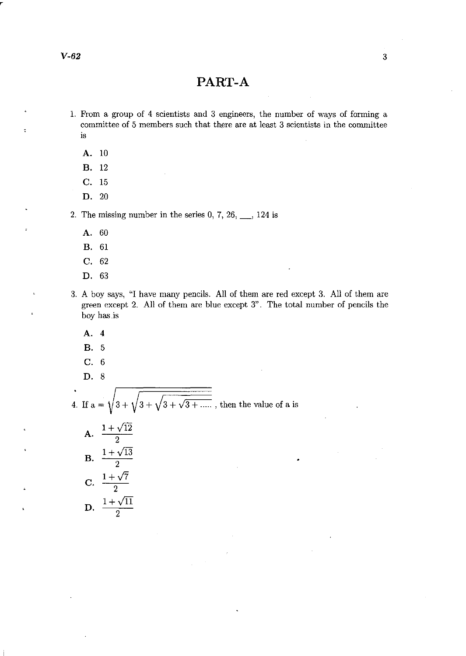#### *V-62* 3

 $\ddot{\phantom{0}}$ 

# **PART-A**

- 1. From a group of 4 scientists and 3 engineers, the number of ways of forming a committee of 5 members such that there are at least 3 scientists in the committee is
	- **A. 10**
	- **B. 12**
	- **C.** 15
	- **D. 20**

2. The missing number in the series  $0, 7, 26, \dots$ , 124 is

- **A.** 60
- **B. 61**
- **C.** 62
- **D. 63**
- 3. A boy says, "I have many pencils. All of them are red except 3. All of them are green except 2. All of them are blue except 3". The total number of pencils the boy has.is
	- **A.** 4
	- **B.** 5
	- **C.** 6
	- **D.** 8

4. If  $a = \sqrt{3 + \sqrt{3 + \sqrt{3 + \dots}}},$  then the value of a is

**A.** 
$$
\frac{1+\sqrt{12}}{2}
$$
  
\n**B.** 
$$
\frac{1+\sqrt{13}}{2}
$$
  
\n**C.** 
$$
\frac{1+\sqrt{7}}{2}
$$
  
\n**D.** 
$$
\frac{1+\sqrt{11}}{2}
$$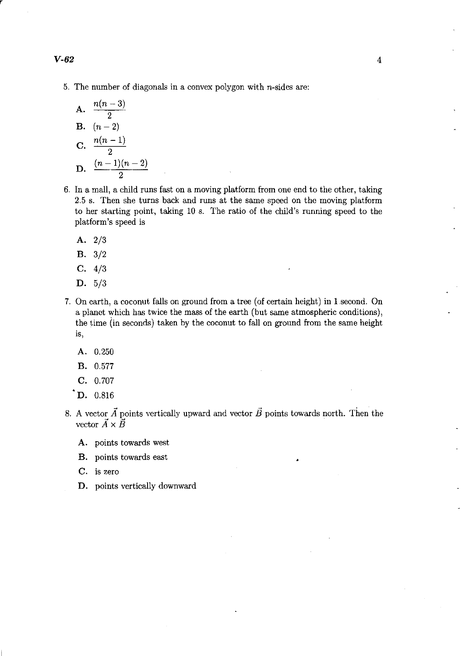r

5. The number of diagonals in a convex polygon with  $n$ -sides are:

A. 
$$
\frac{n(n-3)}{2}
$$
  
B.  $(n-2)$   
C. 
$$
\frac{n(n-1)}{2}
$$
  
D. 
$$
\frac{(n-1)(n-2)}{2}
$$

- 6. **In** a mall, a child runs fast on a moving platform from one end to the other, taking 2.5 s. Then she turns back and runs at the same speed on the moving platform to her starting point, taking 10 s. The ratio of the child's running speed to the platform's speed is
	- **A.** 2/3
	- **B.** 3/2
	- **C.** 4/3
	- **D.** 5/3
- 7. On earth, a coconut falls on ground from a tree (of certain height) in 1 second. On a planet which has twice the mass of the earth (but same atmospheric conditions), the time (in seconds) taken by the coconut to fallon ground from the same height **is,** 
	- **A.** 0.250
	- **B.** 0.577
	- **C.** 0.707
	- **D.** 0.816
- 8. A vector  $\vec{A}$  points vertically upward and vector  $\vec{B}$  points towards north. Then the vector  $\vec{A} \times \vec{B}$ 
	- **A.** points towards west
	- **B.** points towards east
	- **C.** is zero
	- **D.** points vertically downward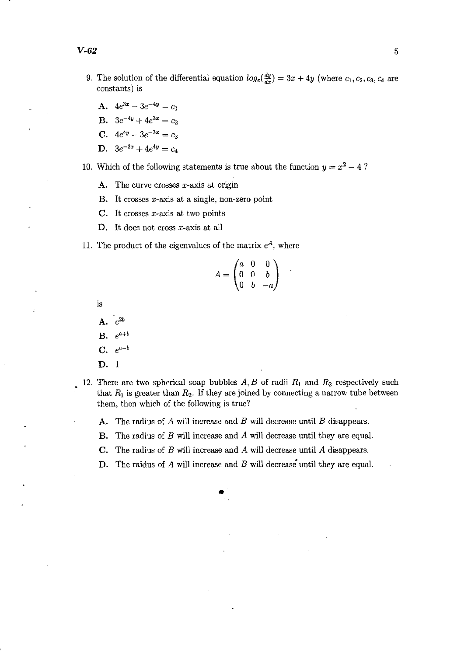r,

- 9. The solution of the differential equation  $log_e(\frac{dy}{dx}) = 3x + 4y$  (where  $c_1, c_2, c_3, c_4$  are constants) is
	- A.  $4e^{3x} 3e^{-4y} = c_1$
	- **B.**  $3e^{-4y} + 4e^{3x} = c_2$
	- **C.**  $4e^{4y} 3e^{-3x} = c_3$
	- **D.**  $3e^{-3x} + 4e^{4y} = c_4$

10. Which of the following statements is true about the function  $y = x^2 - 4$  ?

- **A.** The curve crosses  $x$ -axis at origin
- **B. It** crosses x-axis at a single, non-zero point
- **C. It** crosses x-axis at two points
- **D. It** does not cross x-axis at all
- 11. The product of the eigenvalues of the matrix  $e^{A}$ , where

$$
A = \begin{pmatrix} a & 0 & 0 \\ 0 & 0 & b \\ 0 & b & -a \end{pmatrix}
$$

is

A.  $e^{2b}$ 

**B.**  $e^{a+b}$ 

 $C. \quad e^{a-b}$ 

- **D.** 1
- 12. There are two spherical soap bubbles  $A, B$  of radii  $R_1$  and  $R_2$  respectively such that  $R_1$  is greater than  $R_2$ . If they are joined by connecting a narrow tube between them, then which of the following is true?
	- **A.** The radius of A will increase and B will decrease until B disappears.
	- **B.** The radius of *B* will increase and *A* will decrease until they are equal.
	- **C.** The radius of *B* will increase and *A* will decrease until *A* disappears.

•

D. The raidus of  $A$  will increase and  $B$  will decrease until they are equal.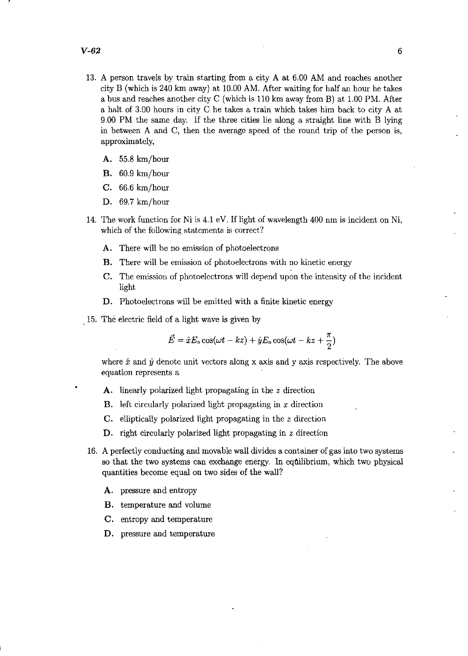- 13. A person travels by train starting from a city A at 6.00 AM and reaches another city B (which is 240 km away) at 10.00 AM. After waiting for half an hour he takes a bus and reaches another city C (which is 110 km away from B) at 1.00 PM. After a halt of 3.00 hours in city C he takes a train which takes him back to city A at 9.00 PM the same day. If the three cities lie along a straight line with B lying in between A and C, then the average speed of the round trip of the person is, approximately,
	- A. 55.8 km/hour
	- B. 60.9 km/hour
	- C. 66.6 km/hour
	- D. 69.7 km/hour
- 14. The work function for Ni is 4.1 eV. If light of wavelength 400 nm is incident on Ni, which of the following statements is correct?
	- A. There will be no emission of photoelectrons
	- B. There will be emission of photoelectrons with no kinetic energy
	- C. The emission of photoelectrons will depend upon the intensity of the incident light.
	- D. Photoelectrons will be emitted with a finite kinetic energy
- 15. The electric field of a light wave is given by

$$
\vec{E} = \hat{x}E_o \cos(\omega t - kz) + \hat{y}E_o \cos(\omega t - kz + \frac{\pi}{2})
$$

where  $\hat{x}$  and  $\hat{y}$  denote unit vectors along x axis and y axis respectively. The above equation represents a

- A. linearly polarized light propagating in the *z* direction
- B. left circularly polarized light propagating in  $x$  direction
- C. elliptically polarized light propagating in the *z* direction
- D. right circularly polarized light propagating in *z* direction
- 16. A perfectly conducting and movable wall divides a container of gas into two systems so that the two systems can exchange energy. In equilibrium, which two physical quantities become equal on two sides of the wall?
	- A. pressure and entropy
	- B. temperature and volume
	- C. entropy and temperature
	- D. pressure and temperature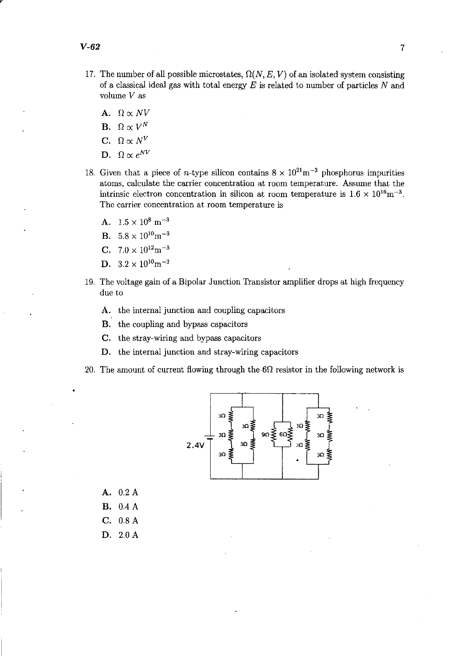- 17. The number of all possible microstates,  $\Omega(N, E, V)$  of an isolated system consisting of a classical ideal gas with total energy *E* is related to number of particles Nand volume *V* as
	- A.  $\Omega \propto N V$
	- **B.**  $\Omega \propto V^N$
	- C.  $\Omega \propto N^V$
	- D.  $\Omega \propto e^{NV}$
- 18. Given that a piece of *n*-type silicon contains  $8 \times 10^{21}$  m<sup>-3</sup> phosphorus impurities atoms, calculate the carrier concentration at room temperature. Assume that the intrinsic electron concentration in silicon at room temperature is  $1.6 \times 10^{16}$ m<sup>-3</sup>. The carrier concentration at room temperature is
	- A.  $1.5 \times 10^8$  m<sup>-3</sup>
	- **B.**  $5.8 \times 10^{10}$ m<sup>-3</sup>
	- C.  $7.0 \times 10^{12}$ m<sup>-3</sup>
	- D.  $3.2 \times 10^{10}$ m<sup>-3</sup>
- 19. The voltage gain of a Bipolar Junction Transistor amplifier drops at high frequency due to
	- A. the internal junction and coupling capacitors
	- B. the coupling and bypass capacitors
	- C. the stray-wiring and bypass capacitors
	- D. the internal junction and stray-wiring capacitors
- 20. The amount of current flowing through the  $6\Omega$  resistor in the following network is



A. 0.2 A B. 0.4 A C. 0.8A D. 2.0A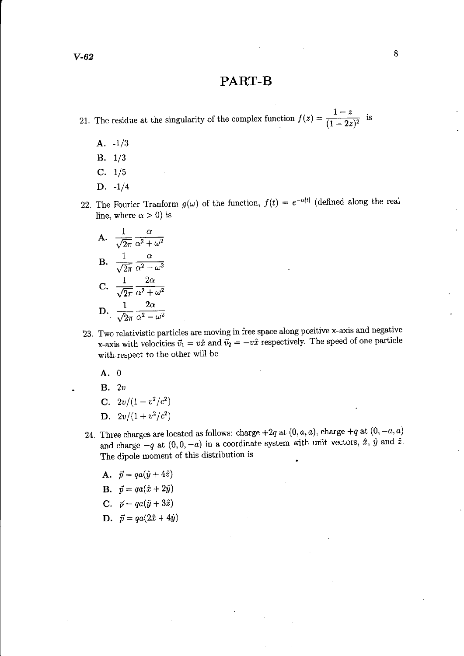## **PART-B**

21. The residue at the singularity of the complex function  $f(z) = \frac{1-z}{(1-2z)^2}$  is

- A.  $-1/3$
- B. 1/3
- C. 1/5
- D. -1/4
- 22. The Fourier Tranform  $g(\omega)$  of the function,  $f(t) = e^{-\alpha|t|}$  (defined along the real line, where  $\alpha > 0$ ) is

A. 
$$
\frac{1}{\sqrt{2\pi}} \frac{\alpha}{\alpha^2 + \omega^2}
$$
  
\nB. 
$$
\frac{1}{\sqrt{2\pi}} \frac{\alpha}{\alpha^2 - \omega^2}
$$
  
\nC. 
$$
\frac{1}{\sqrt{2\pi}} \frac{2\alpha}{\alpha^2 + \omega^2}
$$
  
\nD. 
$$
\frac{1}{\sqrt{2\pi}} \frac{2\alpha}{\alpha^2 - \omega^2}
$$

- 23. Two relativistic particles are moving in free space along positive x-axis and negative x-axis with velocities  $\vec{v}_1 = v\hat{x}$  and  $\vec{v}_2 = -v\hat{x}$  respectively. The speed of one particle with respect to the other will be
	- A. 0
	- B. *2v*
	- C.  $2v/(1-v^2/c^2)$
	- **D.**  $2v/(1+v^2/c^2)$
- 24. Three charges are located as follows: charge  $+2q$  at  $(0, a, a)$ , charge  $+q$  at  $(0, -a, a)$ and charge  $-q$  at  $(0,0,-a)$  in a coordinate system with unit vectors,  $\hat{x}$ ,  $\hat{y}$  and  $\hat{z}$ . The dipole moment of this distribution is
	- A.  $\vec{p} = qa(\hat{y} + 4\hat{z})$
	- **B.**  $\vec{p} = qa(\hat{x} + 2\hat{y})$
	- C.  $\vec{p} = qa(\hat{y} + 3\hat{z})$
	- D.  $\vec{p} = qa(2\hat{x} + 4\hat{y})$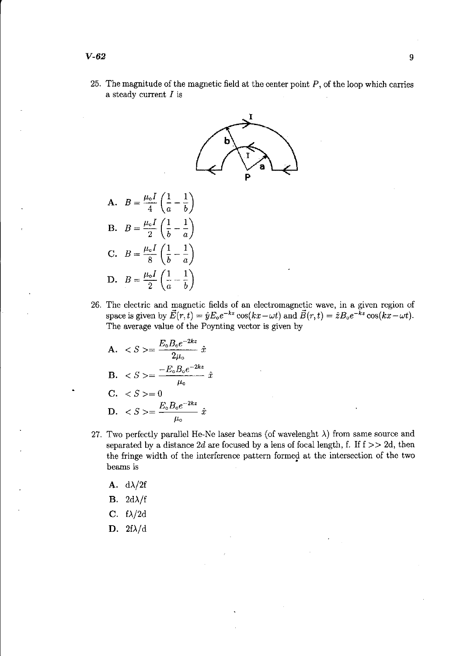25. The magnitude of the magnetic field at the center point  $P$ , of the loop which carries a steady current  $I$  is



B. 
$$
B = \frac{\mu_0 I}{2} \left( \frac{1}{b} - \frac{1}{a} \right)
$$
  
\nC. 
$$
B = \frac{\mu_0 I}{8} \left( \frac{1}{b} - \frac{1}{a} \right)
$$
  
\nD. 
$$
B = \frac{\mu_0 I}{2} \left( \frac{1}{a} - \frac{1}{b} \right)
$$

26. The electric and magnetic fields of an electromagnetic wave, in a given region of space is given by  $\vec{E}(r, t) = \hat{y}E_0e^{-kz}\cos(kx-\omega t)$  and  $\vec{B}(r, t) = \hat{z}B_0e^{-kz}\cos(kx-\omega t)$ . The average value of the Poynting vector is given by

$$
\begin{aligned}\n\mathbf{A.} \quad < S >= \frac{E_{\circ} B_{\circ} e^{-2kz}}{2\mu_{\circ}} \hat{x} \\
\mathbf{B.} \quad < S >= \frac{-E_{\circ} B_{\circ} e^{-2kz}}{\mu_{\circ}} \hat{x} \\
\mathbf{C.} \quad < S >= 0 \\
\mathbf{D.} \quad < S >= \frac{E_{\circ} B_{\circ} e^{-2kz}}{\mu_{\circ}} \hat{x}\n\end{aligned}
$$

- 27. Two perfectly parallel He-Ne laser beams (of wavelenght  $\lambda$ ) from same source and separated by a distance  $2d$  are focused by a lens of focal length, f. If  $f \geq 2d$ , then the fringe width of the interference pattern formed at the intersection of the two beams is
	- A.  $d\lambda/2f$
	- **B.**  $2d\lambda/f$
	- C.  $f\lambda/2d$
	- D.  $2f\lambda/d$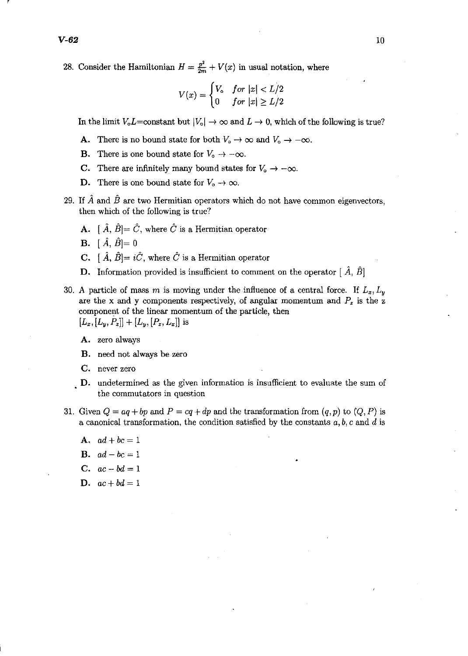r

28. Consider the Hamiltonian  $H = \frac{p^2}{2m} + V(x)$  in usual notation, where

$$
V(x) = \begin{cases} V_{\circ} & \text{for } |x| < L/2 \\ 0 & \text{for } |x| \ge L/2 \end{cases}
$$

In the limit  $V_0L$ =constant but  $|V_0| \to \infty$  and  $L \to 0$ , which of the following is true?

- A. There is no bound state for both  $V_0 \to \infty$  and  $V_0 \to -\infty$ .
- **B.** There is one bound state for  $V_0 \rightarrow -\infty$ .
- C. There are infinitely many bound states for  $V_0 \rightarrow -\infty$ .
- **D.** There is one bound state for  $V_0 \to \infty$ .
- 29. If  $\hat{A}$  and  $\hat{B}$  are two Hermitian operators which do not have common eigenvectors, then which of the following is true?
	- **A.**  $[\hat{A}, \hat{B}] = \hat{C}$ , where  $\hat{C}$  is a Hermitian operator
	- **B.**  $[\hat{A}, \hat{B}] = 0$
	- **C.**  $\hat{A}$ ,  $\hat{B} = i\hat{C}$ , where  $\hat{C}$  is a Hermitian operator
	- **D.** Information provided is insufficient to comment on the operator  $[\hat{A}, \hat{B}]$
- 30. A particle of mass m is moving under the influence of a central force. If  $L_x, L_y$ are the x and y components respectively, of angular momentum and  $P_z$  is the z component of the linear momentum of the particle, then  $[L_x, [L_y, P_z]] + [L_y, [P_z, L_x]]$  is
	- A. zero always
	- B. need not always be zero
	- C. never zero
	- D. undetermined as the given information is insufficient to evaluate the sum of the commutators in question
- 31. Given  $Q = aq + bp$  and  $P = cq + dp$  and the transformation from  $(q, p)$  to  $(Q, P)$  is a canonical transformation, the condition satisfied by the constants *a,* b, c and d is
	- A.  $ad + bc = 1$
	- **B.**  $ad-bc=1$
	- C.  $ac bd = 1$
	- **D.**  $ac + bd = 1$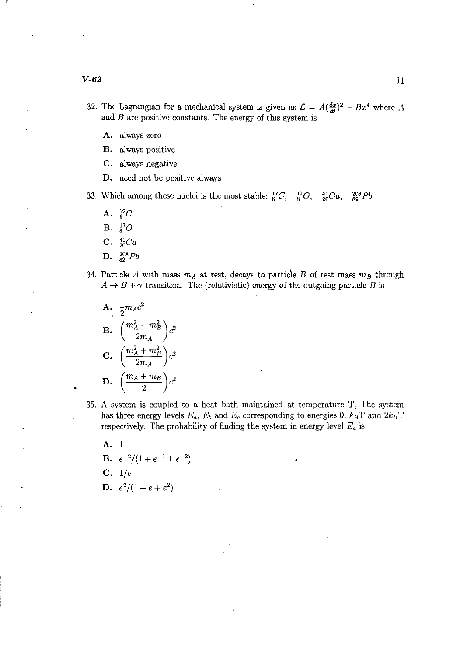- 32. The Lagrangian for a mechanical system is given as  $\mathcal{L} = A(\frac{dx}{dt})^2 Bx^4$  where *A* and *B* are positive constants. The energy of this system is
	- A. always zero
	- B. always positive
	- C. always negative
	- D. need not be positive always
- 33. Which among these nuclei is the most stable:  ${}^{12}_{6}C, {}^{17}_{8}$  $\frac{41}{20}Ca$ ,  $\frac{208}{82}Pb$ 
	- A.  $^{12}_{6}C$
	- **B.**  $^{17}_{8}O$
	- C.  $^{41}_{20}Ca$
	- D.  $^{208}_{82}Pb$
- 34. Particle *A* with mass  $m_A$  at rest, decays to particle *B* of rest mass  $m_B$  through  $A \rightarrow B + \gamma$  transition. The (relativistic) energy of the outgoing particle *B* is

A. 
$$
\frac{1}{2}m_A c^2
$$
  
\nB. 
$$
\left(\frac{m_A^2 - m_B^2}{2m_A}\right) c^2
$$
  
\nC. 
$$
\left(\frac{m_A^2 + m_B^2}{2m_A}\right) c^2
$$
  
\nD. 
$$
\left(\frac{m_A + m_B}{2}\right) c^2
$$

- 35. A system is coupled to a heat bath maintained at temperature T. The system has three energy levels  $E_a$ ,  $E_b$  and  $E_c$  corresponding to energies 0,  $k_B$ T and  $2k_B$ T respectively. The probability of finding the system in energy level  $E_a$  is
	- A. 1 **B.**  $e^{-2}/(1+e^{-1}+e^{-2})$
	- C. *l/e*
	- D.  $e^2/(1+e+e^2)$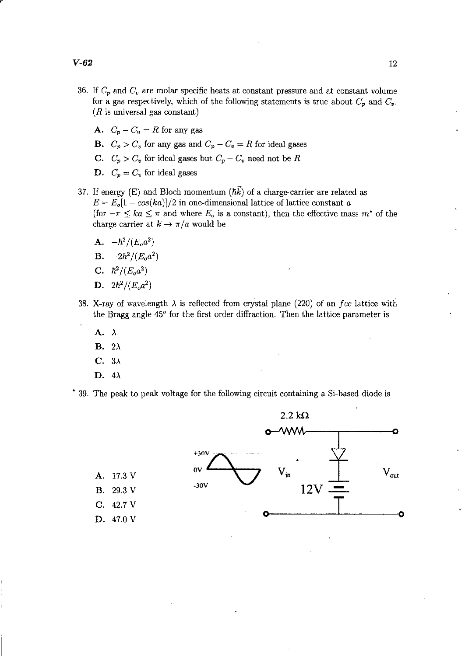- 36. If  $C_p$  and  $C_v$  are molar specific heats at constant pressure and at constant volume for a gas respectively, which of the following statements is true about  $C_p$  and  $C_v$ .  $(R$  is universal gas constant)
	- A.  $C_p C_v = R$  for any gas
	- **B.**  $C_p > C_v$  for any gas and  $C_p C_v = R$  for ideal gases
	- C.  $C_p > C_v$  for ideal gases but  $C_p C_v$  need not be R
	- D.  $C_p = C_v$  for ideal gases
- 37. If energy (E) and Bloch momentum  $(\hbar \vec{k})$  of a charge-carrier are related as  $E = E_o[1 - \cos(ka)]/2$  in one-dimensional lattice of lattice constant *a* (for  $-\pi \leq ka \leq \pi$  and where  $E_o$  is a constant), then the effective mass  $m^*$  of the charge carrier at  $k \to \pi/a$  would be
	- A.  $-\hbar^2/(E_o a^2)$
	- $B. -2\hbar^2/(E_0 a^2)$
	- C.  $\hbar^2/(E_0 a^2)$
	- D.  $2\hbar^2/(E_o a^2)$
- 38. X-ray of wavelength  $\lambda$  is reflected from crystal plane (220) of an *fcc* lattice with the Bragg angle *450* for the first order diffraction. Then the lattice parameter is
	- $A. \lambda$
	- **B.**  $2\lambda$
	- $C. \ \ 3\lambda$
	- D.  $4\lambda$



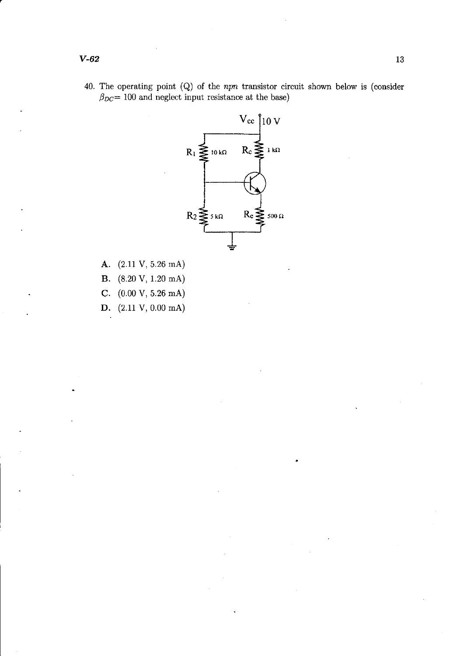40. The operating point (Q) of the npn transistor circuit shown below is (consider  $\beta_{DC}$ = 100 and neglect input resistance at the base)



- A. (2.11 V, 5.26 mA) **B.** (8.20 V, 1.20 mA) C.  $(0.00 \text{ V}, 5.26 \text{ mA})$
- D. (2.11 V, 0.00 mA)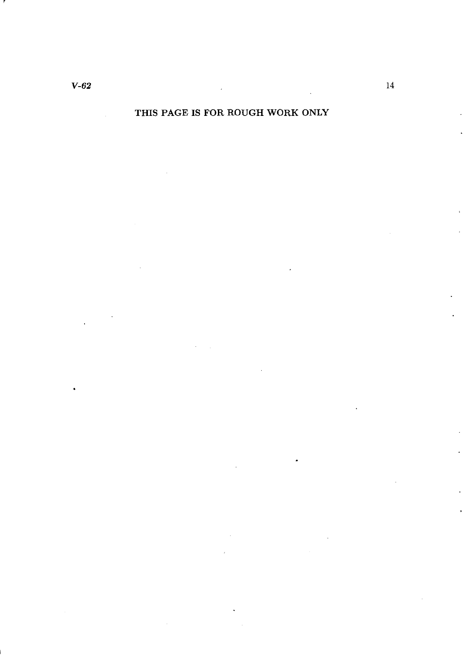r

## THIS PAGE IS FOR ROUGH WORK ONLY